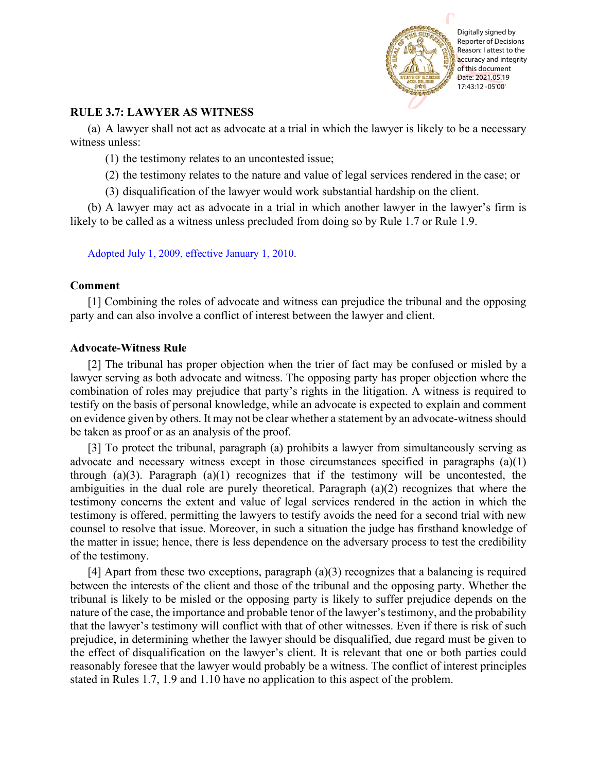

## **RULE 3.7: LAWYER AS WITNESS**

(a) A lawyer shall not act as advocate at a trial in which the lawyer is likely to be a necessary witness unless:

(1) the testimony relates to an uncontested issue;

- (2) the testimony relates to the nature and value of legal services rendered in the case; or
- (3) disqualification of the lawyer would work substantial hardship on the client.

(b) A lawyer may act as advocate in a trial in which another lawyer in the lawyer's firm is likely to be called as a witness unless precluded from doing so by Rule 1.7 or Rule 1.9.

[Adopted July 1, 2009, effective January 1, 2010.](http://www.illinoiscourts.gov/files/070109.pdf/amendment)

## **Comment**

[1] Combining the roles of advocate and witness can prejudice the tribunal and the opposing party and can also involve a conflict of interest between the lawyer and client.

## **Advocate-Witness Rule**

[2] The tribunal has proper objection when the trier of fact may be confused or misled by a lawyer serving as both advocate and witness. The opposing party has proper objection where the combination of roles may prejudice that party's rights in the litigation. A witness is required to testify on the basis of personal knowledge, while an advocate is expected to explain and comment on evidence given by others. It may not be clear whether a statement by an advocate-witness should be taken as proof or as an analysis of the proof.

[3] To protect the tribunal, paragraph (a) prohibits a lawyer from simultaneously serving as advocate and necessary witness except in those circumstances specified in paragraphs (a)(1) through (a)(3). Paragraph (a)(1) recognizes that if the testimony will be uncontested, the ambiguities in the dual role are purely theoretical. Paragraph (a)(2) recognizes that where the testimony concerns the extent and value of legal services rendered in the action in which the testimony is offered, permitting the lawyers to testify avoids the need for a second trial with new counsel to resolve that issue. Moreover, in such a situation the judge has firsthand knowledge of the matter in issue; hence, there is less dependence on the adversary process to test the credibility of the testimony.

[4] Apart from these two exceptions, paragraph (a)(3) recognizes that a balancing is required between the interests of the client and those of the tribunal and the opposing party. Whether the tribunal is likely to be misled or the opposing party is likely to suffer prejudice depends on the nature of the case, the importance and probable tenor of the lawyer's testimony, and the probability that the lawyer's testimony will conflict with that of other witnesses. Even if there is risk of such prejudice, in determining whether the lawyer should be disqualified, due regard must be given to the effect of disqualification on the lawyer's client. It is relevant that one or both parties could reasonably foresee that the lawyer would probably be a witness. The conflict of interest principles stated in Rules 1.7, 1.9 and 1.10 have no application to this aspect of the problem.